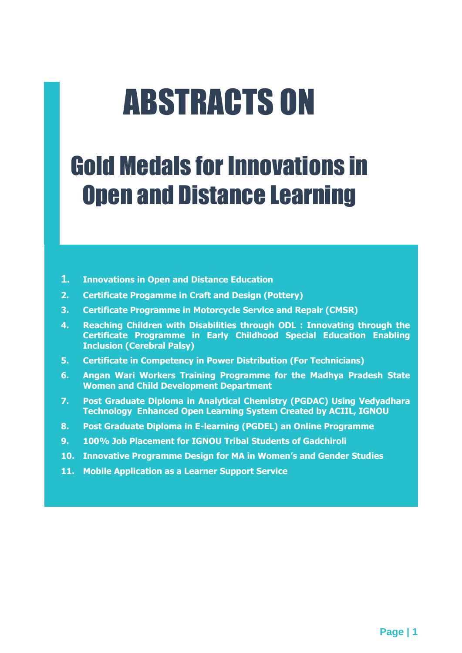# ABSTRACTS ON

## Gold Medals for Innovations in Open and Distance Learning

- **1. Innovations in Open and Distance Education**
- **2. Certificate Progamme in Craft and Design (Pottery)**
- **3. Certificate Programme in Motorcycle Service and Repair (CMSR)**
- **4. Reaching Children with Disabilities through ODL : Innovating through the Certificate Programme in Early Childhood Special Education Enabling Inclusion (Cerebral Palsy)**
- **5. Certificate in Competency in Power Distribution (For Technicians)**
- **6. Angan Wari Workers Training Programme for the Madhya Pradesh State Women and Child Development Department**
- **7. Post Graduate Diploma in Analytical Chemistry (PGDAC) Using Vedyadhara Technology Enhanced Open Learning System Created by ACIIL, IGNOU**
- **8. Post Graduate Diploma in E-learning (PGDEL) an Online Programme**
- **9. 100% Job Placement for IGNOU Tribal Students of Gadchiroli**
- **10. Innovative Programme Design for MA in Women's and Gender Studies**
- **11. Mobile Application as a Learner Support Service**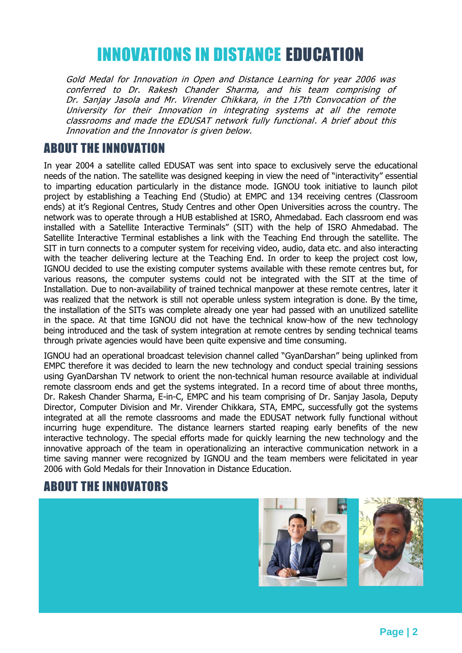### INNOVATIONS IN DISTANCE EDUCATION

Gold Medal for Innovation in Open and Distance Learning for year 2006 was conferred to Dr. Rakesh Chander Sharma, and his team comprising of Dr. Sanjay Jasola and Mr. Virender Chikkara, in the 17th Convocation of the University for their Innovation in integrating systems at all the remote classrooms and made the EDUSAT network fully functional. A brief about this Innovation and the Innovator is given below.

#### ABOUT THE INNOVATION

In year 2004 a satellite called EDUSAT was sent into space to exclusively serve the educational needs of the nation. The satellite was designed keeping in view the need of "interactivity" essential to imparting education particularly in the distance mode. IGNOU took initiative to launch pilot project by establishing a Teaching End (Studio) at EMPC and 134 receiving centres (Classroom ends) at it's Regional Centres, Study Centres and other Open Universities across the country. The network was to operate through a HUB established at ISRO, Ahmedabad. Each classroom end was installed with a Satellite Interactive Terminals" (SIT) with the help of ISRO Ahmedabad. The Satellite Interactive Terminal establishes a link with the Teaching End through the satellite. The SIT in turn connects to a computer system for receiving video, audio, data etc. and also interacting with the teacher delivering lecture at the Teaching End. In order to keep the project cost low, IGNOU decided to use the existing computer systems available with these remote centres but, for various reasons, the computer systems could not be integrated with the SIT at the time of Installation. Due to non-availability of trained technical manpower at these remote centres, later it was realized that the network is still not operable unless system integration is done. By the time, the installation of the SITs was complete already one year had passed with an unutilized satellite in the space. At that time IGNOU did not have the technical know-how of the new technology being introduced and the task of system integration at remote centres by sending technical teams through private agencies would have been quite expensive and time consuming.

IGNOU had an operational broadcast television channel called "GyanDarshan" being uplinked from EMPC therefore it was decided to learn the new technology and conduct special training sessions using GyanDarshan TV network to orient the non-technical human resource available at individual remote classroom ends and get the systems integrated. In a record time of about three months, Dr. Rakesh Chander Sharma, E-in-C, EMPC and his team comprising of Dr. Sanjay Jasola, Deputy Director, Computer Division and Mr. Virender Chikkara, STA, EMPC, successfully got the systems integrated at all the remote classrooms and made the EDUSAT network fully functional without incurring huge expenditure. The distance learners started reaping early benefits of the new interactive technology. The special efforts made for quickly learning the new technology and the innovative approach of the team in operationalizing an interactive communication network in a time saving manner were recognized by IGNOU and the team members were felicitated in year 2006 with Gold Medals for their Innovation in Distance Education.

#### ABOUT THE INNOVATORS

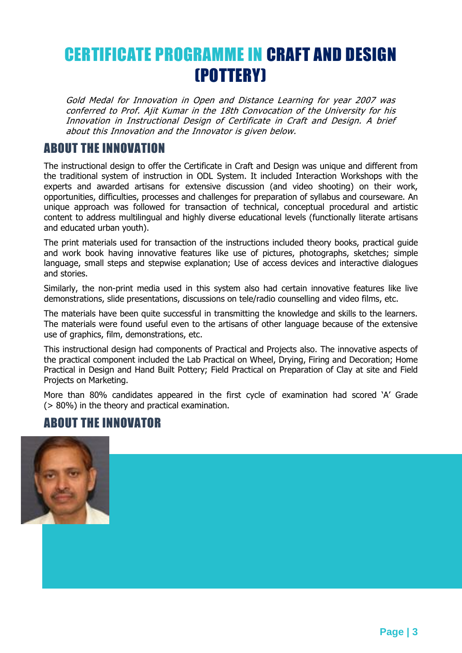### CERTIFICATE PROGRAMME IN CRAFT AND DESIGN (POTTERY)

Gold Medal for Innovation in Open and Distance Learning for year 2007 was conferred to Prof. Ajit Kumar in the 18th Convocation of the University for his Innovation in Instructional Design of Certificate in Craft and Design. A brief about this Innovation and the Innovator is given below.

#### ABOUT THE INNOVATION

The instructional design to offer the Certificate in Craft and Design was unique and different from the traditional system of instruction in ODL System. It included Interaction Workshops with the experts and awarded artisans for extensive discussion (and video shooting) on their work, opportunities, difficulties, processes and challenges for preparation of syllabus and courseware. An unique approach was followed for transaction of technical, conceptual procedural and artistic content to address multilingual and highly diverse educational levels (functionally literate artisans and educated urban youth).

The print materials used for transaction of the instructions included theory books, practical guide and work book having innovative features like use of pictures, photographs, sketches; simple language, small steps and stepwise explanation; Use of access devices and interactive dialogues and stories.

Similarly, the non-print media used in this system also had certain innovative features like live demonstrations, slide presentations, discussions on tele/radio counselling and video films, etc.

The materials have been quite successful in transmitting the knowledge and skills to the learners. The materials were found useful even to the artisans of other language because of the extensive use of graphics, film, demonstrations, etc.

This instructional design had components of Practical and Projects also. The innovative aspects of the practical component included the Lab Practical on Wheel, Drying, Firing and Decoration; Home Practical in Design and Hand Built Pottery; Field Practical on Preparation of Clay at site and Field Projects on Marketing.

More than 80% candidates appeared in the first cycle of examination had scored 'A' Grade (> 80%) in the theory and practical examination.

#### ABOUT THE INNOVATOR

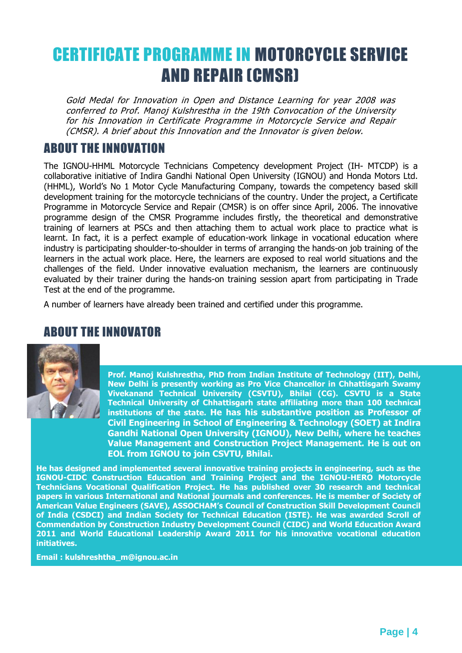### CERTIFICATE PROGRAMME IN MOTORCYCLE SERVICE AND REPAIR (CMSR)

Gold Medal for Innovation in Open and Distance Learning for year 2008 was conferred to Prof. Manoj Kulshrestha in the 19th Convocation of the University for his Innovation in Certificate Programme in Motorcycle Service and Repair (CMSR). A brief about this Innovation and the Innovator is given below.

#### ABOUT THE INNOVATION

The IGNOU-HHML Motorcycle Technicians Competency development Project (IH- MTCDP) is a collaborative initiative of Indira Gandhi National Open University (IGNOU) and Honda Motors Ltd. (HHML), World's No 1 Motor Cycle Manufacturing Company, towards the competency based skill development training for the motorcycle technicians of the country. Under the project, a Certificate Programme in Motorcycle Service and Repair (CMSR) is on offer since April, 2006. The innovative programme design of the CMSR Programme includes firstly, the theoretical and demonstrative training of learners at PSCs and then attaching them to actual work place to practice what is learnt. In fact, it is a perfect example of education-work linkage in vocational education where industry is participating shoulder-to-shoulder in terms of arranging the hands-on job training of the learners in the actual work place. Here, the learners are exposed to real world situations and the challenges of the field. Under innovative evaluation mechanism, the learners are continuously evaluated by their trainer during the hands-on training session apart from participating in Trade Test at the end of the programme.

A number of learners have already been trained and certified under this programme.

#### ABOUT THE INNOVATOR



**Prof. Manoj Kulshrestha, PhD from Indian Institute of Technology (IIT), Delhi, New Delhi is presently working as Pro Vice Chancellor in Chhattisgarh Swamy Vivekanand Technical University (CSVTU), Bhilai (CG). CSVTU is a State Technical University of Chhattisgarh state affiliating more than 100 technical institutions of the state. He has his substantive position as Professor of Civil Engineering in School of Engineering & Technology (SOET) at Indira Gandhi National Open University (IGNOU), New Delhi, where he teaches Value Management and Construction Project Management. He is out on EOL from IGNOU to join CSVTU, Bhilai.**

**He has designed and implemented several innovative training projects in engineering, such as the IGNOU-CIDC Construction Education and Training Project and the IGNOU-HERO Motorcycle Technicians Vocational Qualification Project. He has published over 30 research and technical papers in various International and National journals and conferences. He is member of Society of American Value Engineers (SAVE), ASSOCHAM's Council of Construction Skill Development Council of India (CSDCI) and Indian Society for Technical Education (ISTE). He was awarded Scroll of Commendation by Construction Industry Development Council (CIDC) and World Education Award 2011 and World Educational Leadership Award 2011 for his innovative vocational education initiatives.**

**Email : kulshreshtha\_m@ignou.ac.in**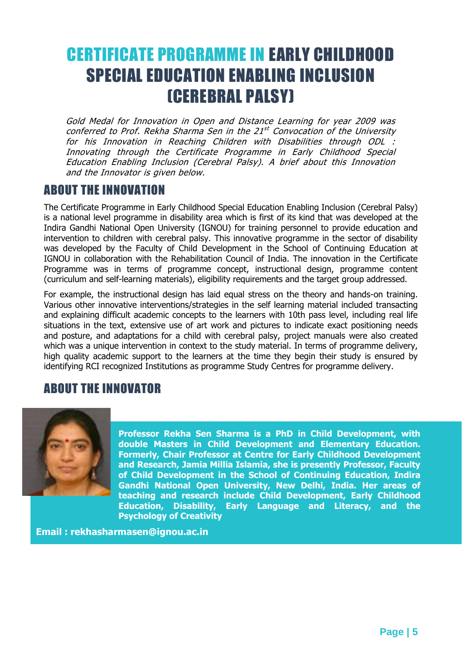### CERTIFICATE PROGRAMME IN EARLY CHILDHOOD SPECIAL EDUCATION ENABLING INCLUSION (CEREBRAL PALSY)

Gold Medal for Innovation in Open and Distance Learning for year 2009 was conferred to Prof. Rekha Sharma Sen in the 21<sup>st</sup> Convocation of the University for his Innovation in Reaching Children with Disabilities through ODL : Innovating through the Certificate Programme in Early Childhood Special Education Enabling Inclusion (Cerebral Palsy). A brief about this Innovation and the Innovator is given below.

#### ABOUT THE INNOVATION

The Certificate Programme in Early Childhood Special Education Enabling Inclusion (Cerebral Palsy) is a national level programme in disability area which is first of its kind that was developed at the Indira Gandhi National Open University (IGNOU) for training personnel to provide education and intervention to children with cerebral palsy. This innovative programme in the sector of disability was developed by the Faculty of Child Development in the School of Continuing Education at IGNOU in collaboration with the Rehabilitation Council of India. The innovation in the Certificate Programme was in terms of programme concept, instructional design, programme content (curriculum and self-learning materials), eligibility requirements and the target group addressed.

For example, the instructional design has laid equal stress on the theory and hands-on training. Various other innovative interventions/strategies in the self learning material included transacting and explaining difficult academic concepts to the learners with 10th pass level, including real life situations in the text, extensive use of art work and pictures to indicate exact positioning needs and posture, and adaptations for a child with cerebral palsy, project manuals were also created which was a unique intervention in context to the study material. In terms of programme delivery, high quality academic support to the learners at the time they begin their study is ensured by identifying RCI recognized Institutions as programme Study Centres for programme delivery.

#### ABOUT THE INNOVATOR



**Professor Rekha Sen Sharma is a PhD in Child Development, with double Masters in Child Development and Elementary Education. Formerly, Chair Professor at Centre for Early Childhood Development and Research, Jamia Millia Islamia, she is presently Professor, Faculty of Child Development in the School of Continuing Education, Indira Gandhi National Open University, New Delhi, India. Her areas of teaching and research include Child Development, Early Childhood Education, Disability, Early Language and Literacy, and the Psychology of Creativity**

**Email : rekhasharmasen@ignou.ac.in**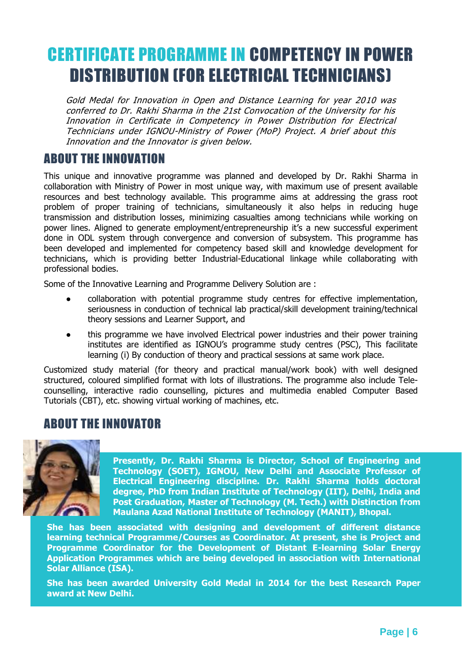### CERTIFICATE PROGRAMME IN COMPETENCY IN POWER DISTRIBUTION (FOR ELECTRICAL TECHNICIANS)

Gold Medal for Innovation in Open and Distance Learning for year 2010 was conferred to Dr. Rakhi Sharma in the 21st Convocation of the University for his Innovation in Certificate in Competency in Power Distribution for Electrical Technicians under IGNOU-Ministry of Power (MoP) Project. A brief about this Innovation and the Innovator is given below.

#### ABOUT THE INNOVATION

This unique and innovative programme was planned and developed by Dr. Rakhi Sharma in collaboration with Ministry of Power in most unique way, with maximum use of present available resources and best technology available. This programme aims at addressing the grass root problem of proper training of technicians, simultaneously it also helps in reducing huge transmission and distribution losses, minimizing casualties among technicians while working on power lines. Aligned to generate employment/entrepreneurship it's a new successful experiment done in ODL system through convergence and conversion of subsystem. This programme has been developed and implemented for competency based skill and knowledge development for technicians, which is providing better Industrial-Educational linkage while collaborating with professional bodies.

Some of the Innovative Learning and Programme Delivery Solution are :

- collaboration with potential programme study centres for effective implementation, seriousness in conduction of technical lab practical/skill development training/technical theory sessions and Learner Support, and
- this programme we have involved Electrical power industries and their power training institutes are identified as IGNOU's programme study centres (PSC), This facilitate learning (i) By conduction of theory and practical sessions at same work place.

Customized study material (for theory and practical manual/work book) with well designed structured, coloured simplified format with lots of illustrations. The programme also include Telecounselling, interactive radio counselling, pictures and multimedia enabled Computer Based Tutorials (CBT), etc. showing virtual working of machines, etc.

#### ABOUT THE INNOVATOR



**Presently, Dr. Rakhi Sharma is Director, School of Engineering and Technology (SOET), IGNOU, New Delhi and Associate Professor of Electrical Engineering discipline. Dr. Rakhi Sharma holds doctoral degree, PhD from Indian Institute of Technology (IIT), Delhi, India and Post Graduation, Master of Technology (M. Tech.) with Distinction from Maulana Azad National Institute of Technology (MANIT), Bhopal.**

**She has been associated with designing and development of different distance learning technical Programme/Courses as Coordinator. At present, she is Project and Programme Coordinator for the Development of Distant E-learning Solar Energy Application Programmes which are being developed in association with International Solar Alliance (ISA).**

**She has been awarded University Gold Medal in 2014 for the best Research Paper award at New Delhi.**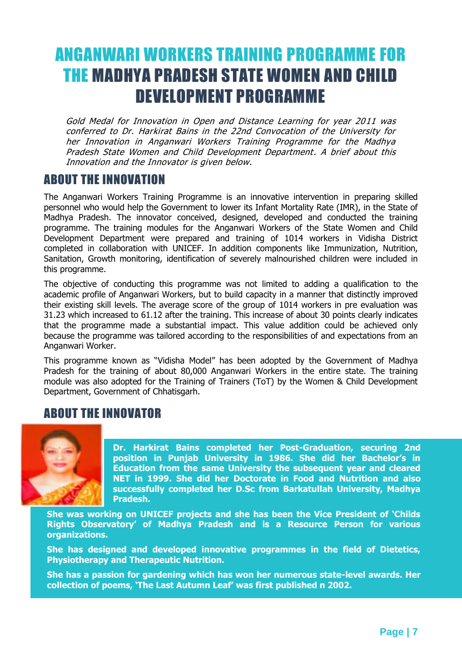### ANGANWARI WORKERS TRAINING PROGRAMME FOR THE MADHYA PRADESH STATE WOMEN AND CHILD DEVELOPMENT PROGRAMME

Gold Medal for Innovation in Open and Distance Learning for year 2011 was conferred to Dr. Harkirat Bains in the 22nd Convocation of the University for her Innovation in Anganwari Workers Training Programme for the Madhya Pradesh State Women and Child Development Department. A brief about this Innovation and the Innovator is given below.

#### ABOUT THE INNOVATION

The Anganwari Workers Training Programme is an innovative intervention in preparing skilled personnel who would help the Government to lower its Infant Mortality Rate (IMR), in the State of Madhya Pradesh. The innovator conceived, designed, developed and conducted the training programme. The training modules for the Anganwari Workers of the State Women and Child Development Department were prepared and training of 1014 workers in Vidisha District completed in collaboration with UNICEF. In addition components like Immunization, Nutrition, Sanitation, Growth monitoring, identification of severely malnourished children were included in this programme.

The objective of conducting this programme was not limited to adding a qualification to the academic profile of Anganwari Workers, but to build capacity in a manner that distinctly improved their existing skill levels. The average score of the group of 1014 workers in pre evaluation was 31.23 which increased to 61.12 after the training. This increase of about 30 points clearly indicates that the programme made a substantial impact. This value addition could be achieved only because the programme was tailored according to the responsibilities of and expectations from an Anganwari Worker.

This programme known as "Vidisha Model" has been adopted by the Government of Madhya Pradesh for the training of about 80,000 Anganwari Workers in the entire state. The training module was also adopted for the Training of Trainers (ToT) by the Women & Child Development Department, Government of Chhatisgarh.

#### ABOUT THE INNOVATOR



**Dr. Harkirat Bains completed her Post-Graduation, securing 2nd position in Punjab University in 1986. She did her Bachelor's in Education from the same University the subsequent year and cleared NET in 1999. She did her Doctorate in Food and Nutrition and also successfully completed her D.Sc from Barkatullah University, Madhya Pradesh.**

**She was working on UNICEF projects and she has been the Vice President of 'Childs Rights Observatory' of Madhya Pradesh and is a Resource Person for various organizations.**

**She has designed and developed innovative programmes in the field of Dietetics, Physiotherapy and Therapeutic Nutrition.**

**She has a passion for gardening which has won her numerous state-level awards. Her collection of poems, 'The Last Autumn Leaf' was first published n 2002.**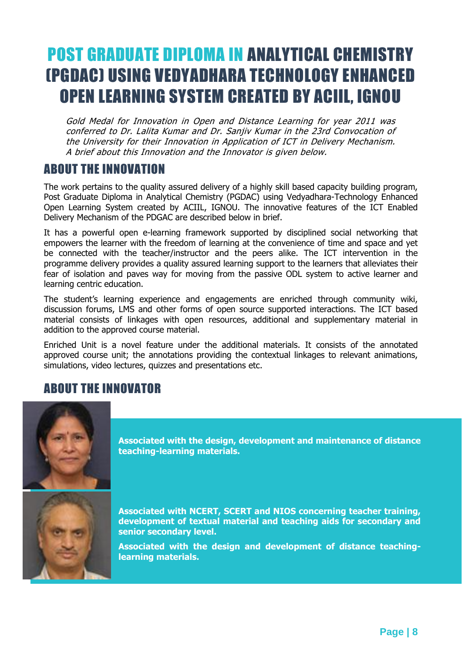### POST GRADUATE DIPLOMA IN ANALYTICAL CHEMISTRY (PGDAC) USING VEDYADHARA TECHNOLOGY ENHANCED OPEN LEARNING SYSTEM CREATED BY ACIIL, IGNOU

Gold Medal for Innovation in Open and Distance Learning for year 2011 was conferred to Dr. Lalita Kumar and Dr. Sanjiv Kumar in the 23rd Convocation of the University for their Innovation in Application of ICT in Delivery Mechanism. A brief about this Innovation and the Innovator is given below.

#### ABOUT THE INNOVATION

The work pertains to the quality assured delivery of a highly skill based capacity building program, Post Graduate Diploma in Analytical Chemistry (PGDAC) using Vedyadhara-Technology Enhanced Open Learning System created by ACIIL, IGNOU. The innovative features of the ICT Enabled Delivery Mechanism of the PDGAC are described below in brief.

It has a powerful open e-learning framework supported by disciplined social networking that empowers the learner with the freedom of learning at the convenience of time and space and yet be connected with the teacher/instructor and the peers alike. The ICT intervention in the programme delivery provides a quality assured learning support to the learners that alleviates their fear of isolation and paves way for moving from the passive ODL system to active learner and learning centric education.

The student's learning experience and engagements are enriched through community wiki, discussion forums, LMS and other forms of open source supported interactions. The ICT based material consists of linkages with open resources, additional and supplementary material in addition to the approved course material.

Enriched Unit is a novel feature under the additional materials. It consists of the annotated approved course unit; the annotations providing the contextual linkages to relevant animations, simulations, video lectures, quizzes and presentations etc.

#### ABOUT THE INNOVATOR



**Associated with the design, development and maintenance of distance teaching-learning materials.**



**Associated with NCERT, SCERT and NIOS concerning teacher training, development of textual material and teaching aids for secondary and senior secondary level.**

**Associated with the design and development of distance teachinglearning materials.**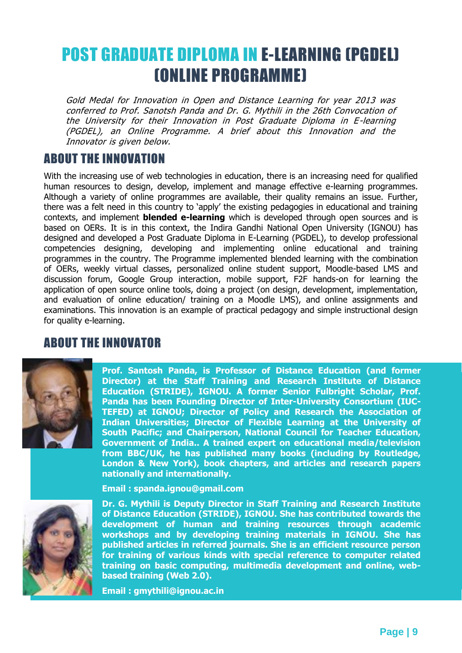### POST GRADUATE DIPLOMA IN E-LEARNING (PGDEL) (ONLINE PROGRAMME)

Gold Medal for Innovation in Open and Distance Learning for year 2013 was conferred to Prof. Sanotsh Panda and Dr. G. Mythili in the 26th Convocation of the University for their Innovation in Post Graduate Diploma in E-learning (PGDEL), an Online Programme. A brief about this Innovation and the Innovator is given below.

#### ABOUT THE INNOVATION

With the increasing use of web technologies in education, there is an increasing need for qualified human resources to design, develop, implement and manage effective e-learning programmes. Although a variety of online programmes are available, their quality remains an issue. Further, there was a felt need in this country to 'apply' the existing pedagogies in educational and training contexts, and implement **blended e-learning** which is developed through open sources and is based on OERs. It is in this context, the Indira Gandhi National Open University (IGNOU) has designed and developed a Post Graduate Diploma in E-Learning (PGDEL), to develop professional competencies designing, developing and implementing online educational and training programmes in the country. The Programme implemented blended learning with the combination of OERs, weekly virtual classes, personalized online student support, Moodle-based LMS and discussion forum, Google Group interaction, mobile support, F2F hands-on for learning the application of open source online tools, doing a project (on design, development, implementation, and evaluation of online education/ training on a Moodle LMS), and online assignments and examinations. This innovation is an example of practical pedagogy and simple instructional design for quality e-learning.

#### ABOUT THE INNOVATOR



**Director) at the Staff Training and Research Institute of Distance** Director) at the Staff Training and Research Institute of Distance<br>Education (STRIDE), IGNOU. A former Senior Fulbright Scholar, Prof. Panda has been Founding Director of Inter-University Consortium (IUC-**TEFED) at IGNOU; Director of Policy and Research the Association of Indian Universities; Director of Flexible Learning at the University of** Indian Universities; Director of Flexible Learning at the University of<br>South Pacific; and Chairperson, National Council for Teacher Education, Government of India.. A trained expert on educational media/television from BBC/UK, he has published many books (including by Routledge, **Email : gmythili@ignou.ac.in nationally and internationally. Prof. Santosh Panda, is Professor of Distance Education (and former London & New York), book chapters, and articles and research papers** 

**Prof. Santosh Panda, is Professor of Distance Education at the Staff Training and Research Institute of Distance Education (STRIDE), IGNOU. Email : spanda.ignou@gmail.com**



**Dr. G. Mythili is Deputy Director in Staff Training and Research Institute** Dr. G. Mythili is Deputy Director in Staff Training and Research Institute<br>of Distance Education (STRIDE), IGNOU. She has contributed towards the development of human and training resources through academic workshops and by developing training materials in IGNOU. She has workshops and by developing training materials in IGNOU. She has<br>published articles in referred journals. She is an efficient resource person for training of various kinds with special reference to computer related training on basic computing, multimedia development and online, web**based training (Web 2.0).** 

**Email : kulshreshtha\_m@ignou.ac.in Email : gmythili@ignou.ac.in**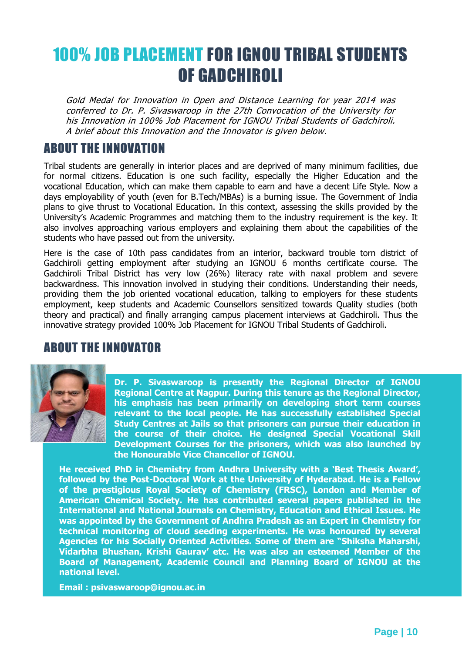### 100% JOB PLACEMENT FOR IGNOU TRIBAL STUDENTS OF GADCHIROLI

Gold Medal for Innovation in Open and Distance Learning for year 2014 was conferred to Dr. P. Sivaswaroop in the 27th Convocation of the University for his Innovation in 100% Job Placement for IGNOU Tribal Students of Gadchiroli. A brief about this Innovation and the Innovator is given below.

#### ABOUT THE INNOVATION

Tribal students are generally in interior places and are deprived of many minimum facilities, due for normal citizens. Education is one such facility, especially the Higher Education and the vocational Education, which can make them capable to earn and have a decent Life Style. Now a days employability of youth (even for B.Tech/MBAs) is a burning issue. The Government of India plans to give thrust to Vocational Education. In this context, assessing the skills provided by the University's Academic Programmes and matching them to the industry requirement is the key. It also involves approaching various employers and explaining them about the capabilities of the students who have passed out from the university.

Here is the case of 10th pass candidates from an interior, backward trouble torn district of Gadchiroli getting employment after studying an IGNOU 6 months certificate course. The Gadchiroli Tribal District has very low (26%) literacy rate with naxal problem and severe backwardness. This innovation involved in studying their conditions. Understanding their needs, providing them the job oriented vocational education, talking to employers for these students employment, keep students and Academic Counsellors sensitized towards Quality studies (both theory and practical) and finally arranging campus placement interviews at Gadchiroli. Thus the innovative strategy provided 100% Job Placement for IGNOU Tribal Students of Gadchiroli.

#### ABOUT THE INNOVATOR



**Dr. P. Sivaswaroop is presently the Regional Director of IGNOU Regional Centre at Nagpur. During this tenure as the Regional Director, his emphasis has been primarily on developing short term courses relevant to the local people. He has successfully established Special Study Centres at Jails so that prisoners can pursue their education in the course of their choice. He designed Special Vocational Skill Development Courses for the prisoners, which was also launched by the Honourable Vice Chancellor of IGNOU.**

**He received PhD in Chemistry from Andhra University with a 'Best Thesis Award', followed by the Post-Doctoral Work at the University of Hyderabad. He is a Fellow of the prestigious Royal Society of Chemistry (FRSC), London and Member of American Chemical Society. He has contributed several papers published in the International and National Journals on Chemistry, Education and Ethical Issues. He was appointed by the Government of Andhra Pradesh as an Expert in Chemistry for technical monitoring of cloud seeding experiments. He was honoured by several Agencies for his Socially Oriented Activities. Some of them are "Shiksha Maharshi, Vidarbha Bhushan, Krishi Gaurav' etc. He was also an esteemed Member of the Board of Management, Academic Council and Planning Board of IGNOU at the national level.**

**Email : psivaswaroop@ignou.ac.in**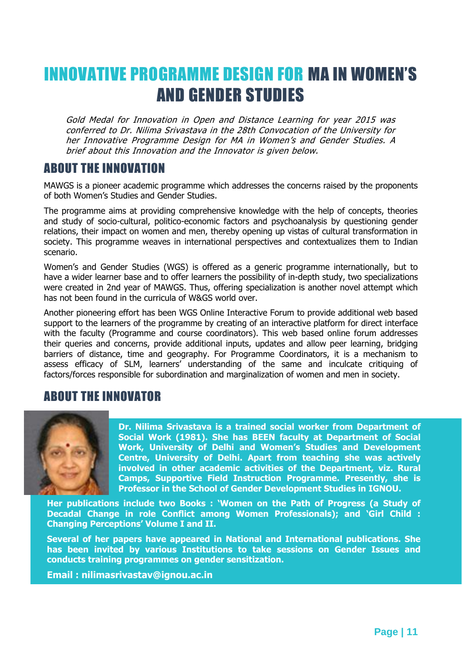### INNOVATIVE PROGRAMME DESIGN FOR MA IN WOMEN'S AND GENDER STUDIES

Gold Medal for Innovation in Open and Distance Learning for year 2015 was conferred to Dr. Nilima Srivastava in the 28th Convocation of the University for her Innovative Programme Design for MA in Women's and Gender Studies. A brief about this Innovation and the Innovator is given below.

#### ABOUT THE INNOVATION

MAWGS is a pioneer academic programme which addresses the concerns raised by the proponents of both Women's Studies and Gender Studies.

The programme aims at providing comprehensive knowledge with the help of concepts, theories and study of socio-cultural, politico-economic factors and psychoanalysis by questioning gender relations, their impact on women and men, thereby opening up vistas of cultural transformation in society. This programme weaves in international perspectives and contextualizes them to Indian scenario.

Women's and Gender Studies (WGS) is offered as a generic programme internationally, but to have a wider learner base and to offer learners the possibility of in-depth study, two specializations were created in 2nd year of MAWGS. Thus, offering specialization is another novel attempt which has not been found in the curricula of W&GS world over.

Another pioneering effort has been WGS Online Interactive Forum to provide additional web based support to the learners of the programme by creating of an interactive platform for direct interface with the faculty (Programme and course coordinators). This web based online forum addresses their queries and concerns, provide additional inputs, updates and allow peer learning, bridging barriers of distance, time and geography. For Programme Coordinators, it is a mechanism to assess efficacy of SLM, learners' understanding of the same and inculcate critiquing of factors/forces responsible for subordination and marginalization of women and men in society.

#### ABOUT THE INNOVATOR



**Dr. Nilima Srivastava is a trained social worker from Department of Social Work (1981). She has BEEN faculty at Department of Social Work, University of Delhi and Women's Studies and Development Centre, University of Delhi. Apart from teaching she was actively involved in other academic activities of the Department, viz. Rural Camps, Supportive Field Instruction Programme. Presently, she is Professor in the School of Gender Development Studies in IGNOU.**

**Her publications include two Books : 'Women on the Path of Progress (a Study of Decadal Change in role Conflict among Women Professionals); and 'Girl Child : Changing Perceptions' Volume I and II.**

**Several of her papers have appeared in National and International publications. She has been invited by various Institutions to take sessions on Gender Issues and conducts training programmes on gender sensitization.**

**Email : nilimasrivastav@ignou.ac.in**